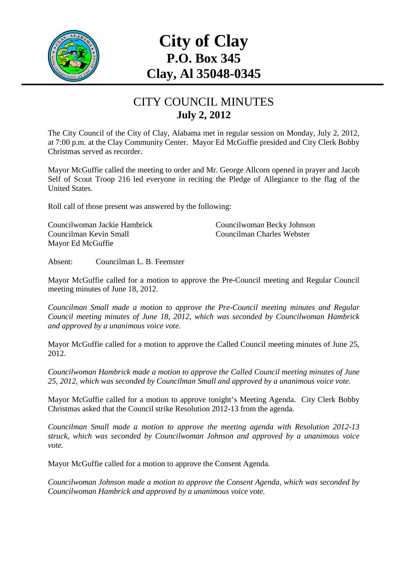

# **City of Clay P.O. Box 345 Clay, Al 35048-0345**

#### CITY COUNCIL MINUTES **July 2, 2012**

The City Council of the City of Clay, Alabama met in regular session on Monday, July 2, 2012, at 7:00 p.m. at the Clay Community Center. Mayor Ed McGuffie presided and City Clerk Bobby Christmas served as recorder.

Mayor McGuffie called the meeting to order and Mr. George Allcorn opened in prayer and Jacob Self of Scout Troop 216 led everyone in reciting the Pledge of Allegiance to the flag of the United States.

Roll call of those present was answered by the following:

Councilwoman Jackie Hambrick Councilwoman Becky Johnson Councilman Kevin Small Councilman Charles Webster Mayor Ed McGuffie

Absent: Councilman L. B. Feemster

Mayor McGuffie called for a motion to approve the Pre-Council meeting and Regular Council meeting minutes of June 18, 2012.

*Councilman Small made a motion to approve the Pre-Council meeting minutes and Regular Council meeting minutes of June 18, 2012, which was seconded by Councilwoman Hambrick and approved by a unanimous voice vote.* 

Mayor McGuffie called for a motion to approve the Called Council meeting minutes of June 25, 2012.

*Councilwoman Hambrick made a motion to approve the Called Council meeting minutes of June 25, 2012, which was seconded by Councilman Small and approved by a unanimous voice vote*.

Mayor McGuffie called for a motion to approve tonight's Meeting Agenda. City Clerk Bobby Christmas asked that the Council strike Resolution 2012-13 from the agenda.

*Councilman Small made a motion to approve the meeting agenda with Resolution 2012-13 struck, which was seconded by Councilwoman Johnson and approved by a unanimous voice vote.* 

Mayor McGuffie called for a motion to approve the Consent Agenda.

*Councilwoman Johnson made a motion to approve the Consent Agenda, which was seconded by Councilwoman Hambrick and approved by a unanimous voice vote.*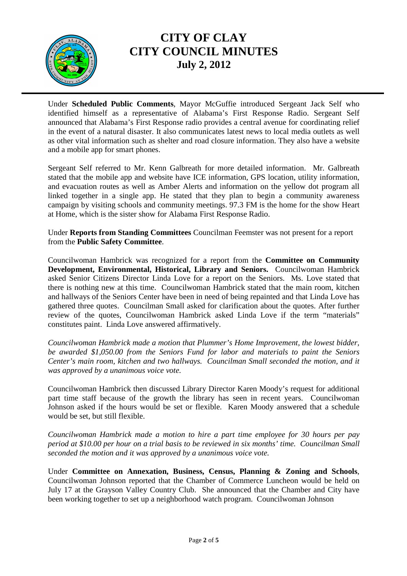

Under **Scheduled Public Comments**, Mayor McGuffie introduced Sergeant Jack Self who identified himself as a representative of Alabama's First Response Radio. Sergeant Self announced that Alabama's First Response radio provides a central avenue for coordinating relief in the event of a natural disaster. It also communicates latest news to local media outlets as well as other vital information such as shelter and road closure information. They also have a website and a mobile app for smart phones.

Sergeant Self referred to Mr. Kenn Galbreath for more detailed information. Mr. Galbreath stated that the mobile app and website have ICE information, GPS location, utility information, and evacuation routes as well as Amber Alerts and information on the yellow dot program all linked together in a single app. He stated that they plan to begin a community awareness campaign by visiting schools and community meetings. 97.3 FM is the home for the show Heart at Home, which is the sister show for Alabama First Response Radio.

Under **Reports from Standing Committees** Councilman Feemster was not present for a report from the **Public Safety Committee**.

Councilwoman Hambrick was recognized for a report from the **Committee on Community Development, Environmental, Historical, Library and Seniors.** Councilwoman Hambrick asked Senior Citizens Director Linda Love for a report on the Seniors. Ms. Love stated that there is nothing new at this time. Councilwoman Hambrick stated that the main room, kitchen and hallways of the Seniors Center have been in need of being repainted and that Linda Love has gathered three quotes. Councilman Small asked for clarification about the quotes. After further review of the quotes, Councilwoman Hambrick asked Linda Love if the term "materials" constitutes paint. Linda Love answered affirmatively.

*Councilwoman Hambrick made a motion that Plummer's Home Improvement, the lowest bidder, be awarded \$1,050.00 from the Seniors Fund for labor and materials to paint the Seniors Center's main room, kitchen and two hallways. Councilman Small seconded the motion, and it was approved by a unanimous voice vote.*

Councilwoman Hambrick then discussed Library Director Karen Moody's request for additional part time staff because of the growth the library has seen in recent years. Councilwoman Johnson asked if the hours would be set or flexible. Karen Moody answered that a schedule would be set, but still flexible.

*Councilwoman Hambrick made a motion to hire a part time employee for 30 hours per pay period at \$10.00 per hour on a trial basis to be reviewed in six months' time. Councilman Small seconded the motion and it was approved by a unanimous voice vote.* 

Under **Committee on Annexation, Business, Census, Planning & Zoning and Schools**, Councilwoman Johnson reported that the Chamber of Commerce Luncheon would be held on July 17 at the Grayson Valley Country Club. She announced that the Chamber and City have been working together to set up a neighborhood watch program. Councilwoman Johnson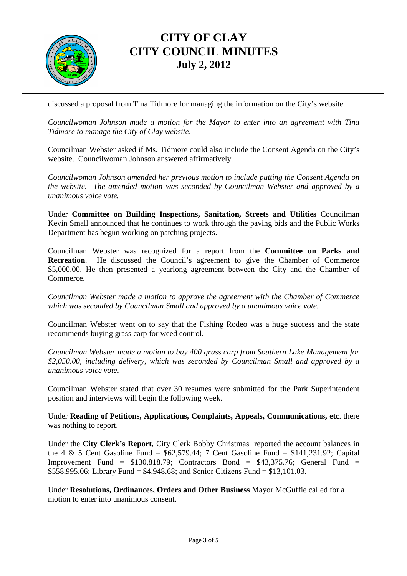

discussed a proposal from Tina Tidmore for managing the information on the City's website.

*Councilwoman Johnson made a motion for the Mayor to enter into an agreement with Tina Tidmore to manage the City of Clay website*.

Councilman Webster asked if Ms. Tidmore could also include the Consent Agenda on the City's website. Councilwoman Johnson answered affirmatively.

*Councilwoman Johnson amended her previous motion to include putting the Consent Agenda on the website. The amended motion was seconded by Councilman Webster and approved by a unanimous voice vote.* 

Under **Committee on Building Inspections, Sanitation, Streets and Utilities** Councilman Kevin Small announced that he continues to work through the paving bids and the Public Works Department has begun working on patching projects.

Councilman Webster was recognized for a report from the **Committee on Parks and Recreation**. He discussed the Council's agreement to give the Chamber of Commerce \$5,000.00. He then presented a yearlong agreement between the City and the Chamber of Commerce.

*Councilman Webster made a motion to approve the agreement with the Chamber of Commerce which was seconded by Councilman Small and approved by a unanimous voice vote.* 

Councilman Webster went on to say that the Fishing Rodeo was a huge success and the state recommends buying grass carp for weed control.

*Councilman Webster made a motion to buy 400 grass carp from Southern Lake Management for \$2,050.00, including delivery, which was seconded by Councilman Small and approved by a unanimous voice vote*.

Councilman Webster stated that over 30 resumes were submitted for the Park Superintendent position and interviews will begin the following week.

Under **Reading of Petitions, Applications, Complaints, Appeals, Communications, etc**. there was nothing to report.

Under the **City Clerk's Report**, City Clerk Bobby Christmas reported the account balances in the 4 & 5 Cent Gasoline Fund =  $\frac{62.579.44}{7}$  Cent Gasoline Fund = \$141.231.92; Capital Improvement Fund =  $$130.818.79$ ; Contractors Bond =  $$43.375.76$ ; General Fund = \$558,995.06; Library Fund = \$4,948.68; and Senior Citizens Fund = \$13,101.03.

Under **Resolutions, Ordinances, Orders and Other Business** Mayor McGuffie called for a motion to enter into unanimous consent.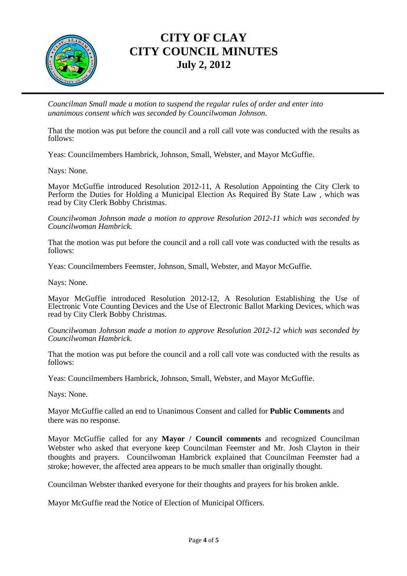

*Councilman Small made a motion to suspend the regular rules of order and enter into unanimous consent which was seconded by Councilwoman Johnson*.

That the motion was put before the council and a roll call vote was conducted with the results as follows:

Yeas: Councilmembers Hambrick, Johnson, Small, Webster, and Mayor McGuffie.

Nays: None.

Mayor McGuffie introduced Resolution 2012-11, A Resolution Appointing the City Clerk to Perform the Duties for Holding a Municipal Election As Required By State Law, which was read by City Clerk Bobby Christmas.

*Councilwoman Johnson made a motion to approve Resolution 2012-11 which was seconded by Councilwoman Hambrick.* 

That the motion was put before the council and a roll call vote was conducted with the results as follows:

Yeas: Councilmembers Feemster, Johnson, Small, Webster, and Mayor McGuffie.

Nays: None.

Mayor McGuffie introduced Resolution 2012-12, A Resolution Establishing the Use of Electronic Vote Counting Devices and the Use of Electronic Ballot Marking Devices, which was read by City Clerk Bobby Christmas.

#### *Councilwoman Johnson made a motion to approve Resolution 2012-12 which was seconded by Councilwoman Hambrick.*

That the motion was put before the council and a roll call vote was conducted with the results as follows:

Yeas: Councilmembers Hambrick, Johnson, Small, Webster, and Mayor McGuffie.

Nays: None.

Mayor McGuffie called an end to Unanimous Consent and called for **Public Comments** and there was no response.

Mayor McGuffie called for any **Mayor / Council comments** and recognized Councilman Webster who asked that everyone keep Councilman Feemster and Mr. Josh Clayton in their thoughts and prayers. Councilwoman Hambrick explained that Councilman Feemster had a stroke; however, the affected area appears to be much smaller than originally thought.

Councilman Webster thanked everyone for their thoughts and prayers for his broken ankle.

Mayor McGuffie read the Notice of Election of Municipal Officers.